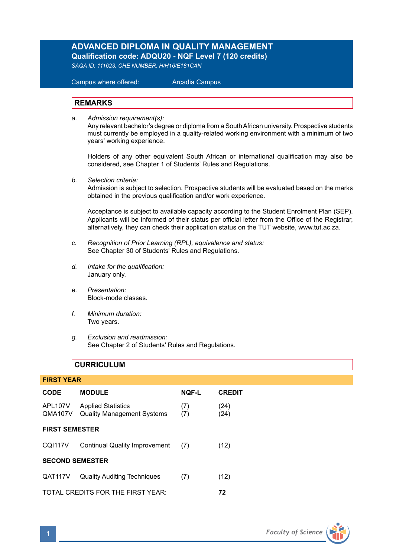# **ADVANCED DIPLOMA IN QUALITY MANAGEMENT**

**Qualification code: ADQU20 - NQF Level 7 (120 credits)** 

*SAQA ID: 111623, CHE NUMBER: H/H16/E181CAN* 

 Campus where offered: Arcadia Campus

#### **REMARKS**

*a. Admission requirement(s):* 

Any relevant bachelor's degree or diploma from a South African university. Prospective students must currently be employed in a quality-related working environment with a minimum of two years' working experience.

Holders of any other equivalent South African or international qualification may also be considered, see Chapter 1 of Students' Rules and Regulations.

*b. Selection criteria:*

Admission is subject to selection. Prospective students will be evaluated based on the marks obtained in the previous qualification and/or work experience.

Acceptance is subject to available capacity according to the Student Enrolment Plan (SEP). Applicants will be informed of their status per official letter from the Office of the Registrar, alternatively, they can check their application status on the TUT website, www.tut.ac.za.

- *c. Recognition of Prior Learning (RPL), equivalence and status:* See Chapter 30 of Students' Rules and Regulations.
- *d. Intake for the qualification:* January only.
- *e. Presentation:* Block-mode classes.
- *f. Minimum duration:* Two years.
- *g. Exclusion and readmission:* See Chapter 2 of Students' Rules and Regulations.

## **CURRICULUM**

| <b>FIRST YEAR</b>      |                                                                |              |               |  |  |  |
|------------------------|----------------------------------------------------------------|--------------|---------------|--|--|--|
| <b>CODE</b>            | <b>MODULE</b>                                                  | <b>NQF-L</b> | <b>CREDIT</b> |  |  |  |
| APL107V<br>QMA107V     | <b>Applied Statistics</b><br><b>Quality Management Systems</b> | (7)<br>(7)   | (24)<br>(24)  |  |  |  |
| <b>FIRST SEMESTER</b>  |                                                                |              |               |  |  |  |
| CQI117V                | Continual Quality Improvement (7)                              |              | (12)          |  |  |  |
| <b>SECOND SEMESTER</b> |                                                                |              |               |  |  |  |
| QAT117V                | <b>Quality Auditing Techniques</b>                             | (7)          | (12)          |  |  |  |
|                        | TOTAL CREDITS FOR THE FIRST YEAR:                              | 72           |               |  |  |  |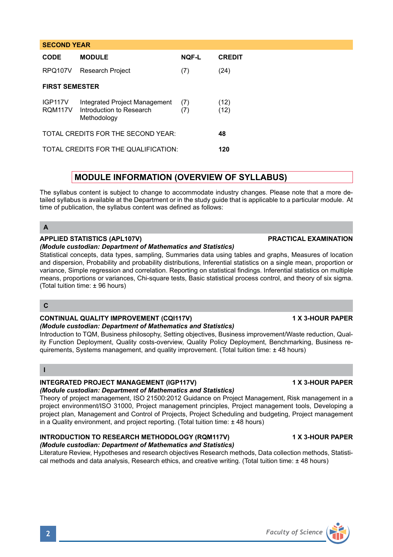| <b>CODE</b>                          | <b>MODULE</b>                                                            | <b>NOF-L</b> | <b>CREDIT</b> |  |  |
|--------------------------------------|--------------------------------------------------------------------------|--------------|---------------|--|--|
| RPQ107V                              | Research Project                                                         | (7)          | (24)          |  |  |
| <b>FIRST SEMESTER</b>                |                                                                          |              |               |  |  |
| IGP <sub>117V</sub><br>RQM117V       | Integrated Project Management<br>Introduction to Research<br>Methodology | (7)<br>(7)   | (12)<br>(12)  |  |  |
| TOTAL CREDITS FOR THE SECOND YEAR:   |                                                                          |              | 48            |  |  |
| TOTAL CREDITS FOR THE QUALIFICATION: |                                                                          |              | 120           |  |  |

## **MODULE INFORMATION (OVERVIEW OF SYLLABUS)**

The syllabus content is subject to change to accommodate industry changes. Please note that a more detailed syllabus is available at the Department or in the study guide that is applicable to a particular module. At time of publication, the syllabus content was defined as follows:

## **A**

**SECOND YEAR** 

### **APPLIED STATISTICS (APL107V) PRACTICAL EXAMINATION**

#### *(Module custodian: Department of Mathematics and Statistics)*

Statistical concepts, data types, sampling, Summaries data using tables and graphs, Measures of location and dispersion, Probability and probability distributions, Inferential statistics on a single mean, proportion or variance, Simple regression and correlation. Reporting on statistical findings. Inferential statistics on multiple means, proportions or variances, Chi-square tests, Basic statistical process control, and theory of six sigma. (Total tuition time: ± 96 hours)

## **C**

#### **CONTINUAL QUALITY IMPROVEMENT (CQI117V) 1 X 3-HOUR PAPER** *(Module custodian: Department of Mathematics and Statistics)*

Introduction to TQM, Business philosophy, Setting objectives, Business improvement/Waste reduction, Quality Function Deployment, Quality costs-overview, Quality Policy Deployment, Benchmarking, Business requirements, Systems management, and quality improvement. (Total tuition time: ± 48 hours)

### **I**

## **INTEGRATED PROJECT MANAGEMENT (IGP117V) 1 X 3-HOUR PAPER**

#### *(Module custodian: Department of Mathematics and Statistics)*  Theory of project management, ISO 21500:2012 Guidance on Project Management, Risk management in a project environment/ISO 31000, Project management principles, Project management tools, Developing a project plan, Management and Control of Projects, Project Scheduling and budgeting, Project management in a Quality environment, and project reporting. (Total tuition time: ± 48 hours)

## **INTRODUCTION TO RESEARCH METHODOLOGY (RQM117V) 1 X 3-HOUR PAPER**

### *(Module custodian: Department of Mathematics and Statistics)*

Literature Review, Hypotheses and research objectives Research methods, Data collection methods, Statistical methods and data analysis, Research ethics, and creative writing. (Total tuition time: ± 48 hours)